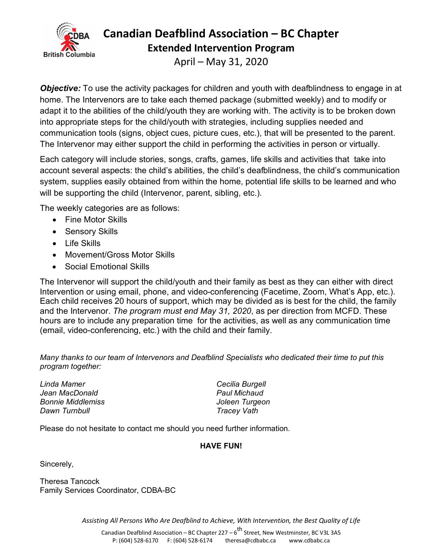

# **Canadian Deafblind Association – BC Chapter**

**Extended Intervention Program**

April – May 31, 2020

**Objective:** To use the activity packages for children and youth with deafblindness to engage in at home. The Intervenors are to take each themed package (submitted weekly) and to modify or adapt it to the abilities of the child/youth they are working with. The activity is to be broken down into appropriate steps for the child/youth with strategies, including supplies needed and communication tools (signs, object cues, picture cues, etc.), that will be presented to the parent. The Intervenor may either support the child in performing the activities in person or virtually.

Each category will include stories, songs, crafts, games, life skills and activities that take into account several aspects: the child's abilities, the child's deafblindness, the child's communication system, supplies easily obtained from within the home, potential life skills to be learned and who will be supporting the child (Intervenor, parent, sibling, etc.).

The weekly categories are as follows:

- Fine Motor Skills
- Sensory Skills
- Life Skills
- Movement/Gross Motor Skills
- Social Emotional Skills

The Intervenor will support the child/youth and their family as best as they can either with direct Intervention or using email, phone, and video-conferencing (Facetime, Zoom, What's App, etc.). Each child receives 20 hours of support, which may be divided as is best for the child, the family and the Intervenor. *The program must end May 31, 2020*, as per direction from MCFD. These hours are to include any preparation time for the activities, as well as any communication time (email, video-conferencing, etc.) with the child and their family.

*Many thanks to our team of Intervenors and Deafblind Specialists who dedicated their time to put this program together:*

*Linda Mamer Cecilia Burgell Jean MacDonald Paul Michaud Bonnie Middlemiss Joleen Turgeon Dawn Turnbull Tracey Vath*

Please do not hesitate to contact me should you need further information.

#### **HAVE FUN!**

Sincerely,

Theresa Tancock Family Services Coordinator, CDBA-BC

*Assisting All Persons Who Are Deafblind to Achieve, With Intervention, the Best Quality of Life*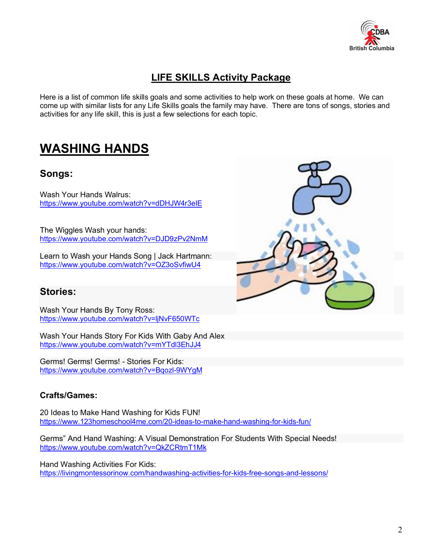

## **LIFE SKILLS Activity Package**

Here is a list of common life skills goals and some activities to help work on these goals at home. We can come up with similar lists for any Life Skills goals the family may have. There are tons of songs, stories and activities for any life skill, this is just a few selections for each topic.

## **WASHING HANDS**

#### **Songs:**

Wash Your Hands Walrus: https://www.youtube.com/watch?v=dDHJW4r3elE

The Wiggles Wash your hands: https://www.youtube.com/watch?v=DJD9zPv2NmM

Learn to Wash your Hands Song | Jack Hartmann: https://www.youtube.com/watch?v=OZ3oSvfiwU4

#### **Stories:**

Wash Your Hands By Tony Ross: https://www.youtube.com/watch?v=ljNvF650WTc

Wash Your Hands Story For Kids With Gaby And Alex https://www.youtube.com/watch?v=mYTdl3EhJJ4

Germs! Germs! Germs! - Stories For Kids: https://www.youtube.com/watch?v=Bqozl-9WYgM

#### **Crafts/Games:**

20 Ideas to Make Hand Washing for Kids FUN! https://www.123homeschool4me.com/20-ideas-to-make-hand-washing-for-kids-fun/

Germs" And Hand Washing: A Visual Demonstration For Students With Special Needs! https://www.youtube.com/watch?v=QkZCRtmT1Mk

Hand Washing Activities For Kids: https://livingmontessorinow.com/handwashing-activities-for-kids-free-songs-and-lessons/

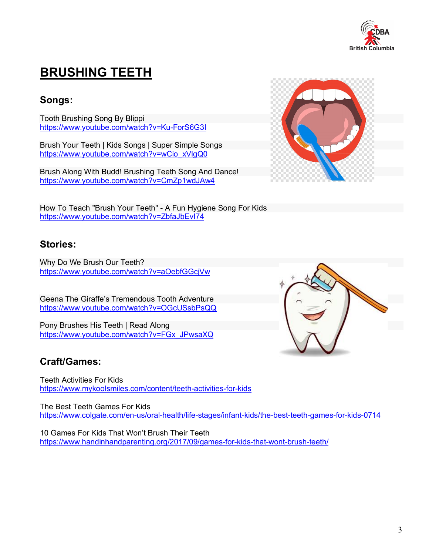

# **BRUSHING TEETH**

### **Songs:**

Tooth Brushing Song By Blippi https://www.youtube.com/watch?v=Ku-ForS6G3I

Brush Your Teeth | Kids Songs | Super Simple Songs https://www.youtube.com/watch?v=wCio\_xVlgQ0

Brush Along With Budd! Brushing Teeth Song And Dance! https://www.youtube.com/watch?v=CmZp1wdJAw4



#### **Stories:**

Why Do We Brush Our Teeth? https://www.youtube.com/watch?v=aOebfGGcjVw

Geena The Giraffe's Tremendous Tooth Adventure https://www.youtube.com/watch?v=OGcUSsbPsQQ

Pony Brushes His Teeth | Read Along https://www.youtube.com/watch?v=FGx\_JPwsaXQ

### **Craft/Games:**

Teeth Activities For Kids https://www.mykoolsmiles.com/content/teeth-activities-for-kids

The Best Teeth Games For Kids https://www.colgate.com/en-us/oral-health/life-stages/infant-kids/the-best-teeth-games-for-kids-0714

10 Games For Kids That Won't Brush Their Teeth https://www.handinhandparenting.org/2017/09/games-for-kids-that-wont-brush-teeth/

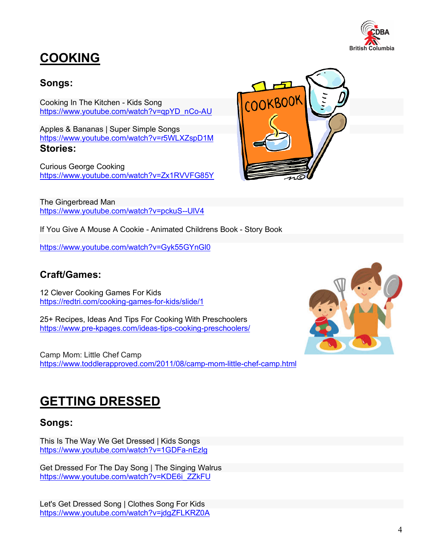

COOKBOOK

# **COOKING**

### **Songs:**

Cooking In The Kitchen - Kids Song https://www.youtube.com/watch?v=qpYD\_nCo-AU

Apples & Bananas | Super Simple Songs https://www.youtube.com/watch?v=r5WLXZspD1M **Stories:**

Curious George Cooking https://www.youtube.com/watch?v=Zx1RVVFG85Y

The Gingerbread Man https://www.youtube.com/watch?v=pckuS--UlV4



https://www.youtube.com/watch?v=Gyk55GYnGl0

### **Craft/Games:**

12 Clever Cooking Games For Kids https://redtri.com/cooking-games-for-kids/slide/1

25+ Recipes, Ideas And Tips For Cooking With Preschoolers https://www.pre-kpages.com/ideas-tips-cooking-preschoolers/

Camp Mom: Little Chef Camp https://www.toddlerapproved.com/2011/08/camp-mom-little-chef-camp.html



## **GETTING DRESSED**

### **Songs:**

This Is The Way We Get Dressed | Kids Songs https://www.youtube.com/watch?v=1GDFa-nEzlg

Get Dressed For The Day Song | The Singing Walrus https://www.youtube.com/watch?v=KDE6i\_ZZkFU

Let's Get Dressed Song | Clothes Song For Kids https://www.youtube.com/watch?v=jdgZFLKRZ0A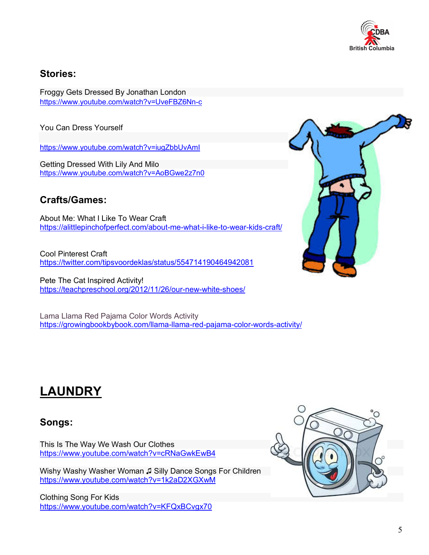

#### **Stories:**

Froggy Gets Dressed By Jonathan London https://www.youtube.com/watch?v=UveFBZ6Nn-c

You Can Dress Yourself

https://www.youtube.com/watch?v=iugZbbUvAmI

Getting Dressed With Lily And Milo https://www.youtube.com/watch?v=AoBGwe2z7n0

### **Crafts/Games:**

About Me: What I Like To Wear Craft https://alittlepinchofperfect.com/about-me-what-i-like-to-wear-kids-craft/

Cool Pinterest Craft https://twitter.com/tipsvoordeklas/status/554714190464942081

Pete The Cat Inspired Activity! https://teachpreschool.org/2012/11/26/our-new-white-shoes/

Lama Llama Red Pajama Color Words Activity https://growingbookbybook.com/llama-llama-red-pajama-color-words-activity/



# **LAUNDRY**

#### **Songs:**

This Is The Way We Wash Our Clothes https://www.youtube.com/watch?v=cRNaGwkEwB4

Wishy Washy Washer Woman ♫ Silly Dance Songs For Children https://www.youtube.com/watch?v=1k2aD2XGXwM

Clothing Song For Kids https://www.youtube.com/watch?v=KFQxBCvgx70